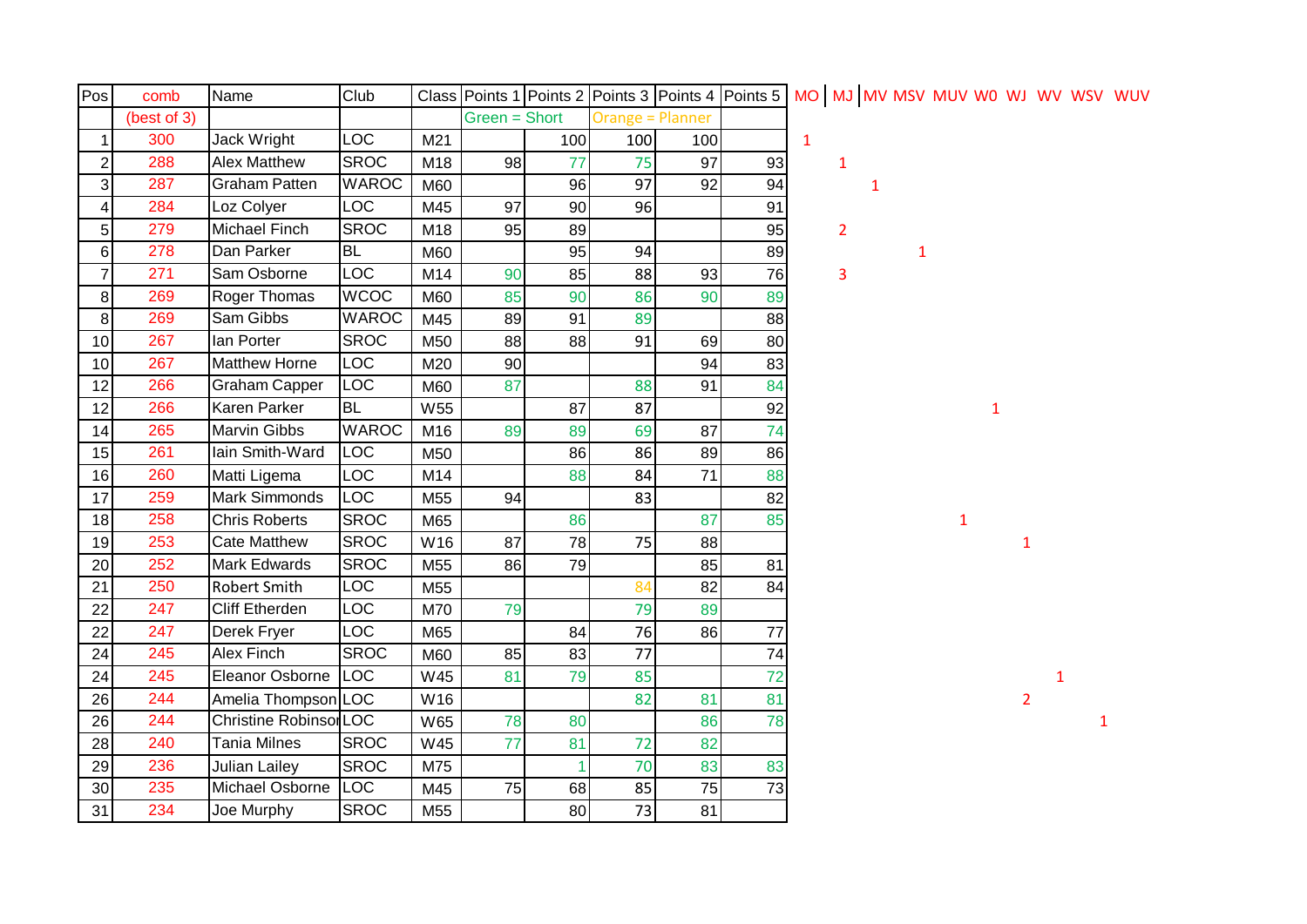| Pos                     | comb        | Name                   | Club         |     |               |     |                         | Class Points 1 Points 2 Points 3 Points 4 Points 5 MO MJ MV MSV MUV W0 WJ WV WSV WUV |    |              |                |   |   |   |   |                |   |  |
|-------------------------|-------------|------------------------|--------------|-----|---------------|-----|-------------------------|--------------------------------------------------------------------------------------|----|--------------|----------------|---|---|---|---|----------------|---|--|
|                         | (best of 3) |                        |              |     | Green = Short |     | <b>Orange = Planner</b> |                                                                                      |    |              |                |   |   |   |   |                |   |  |
| $\mathbf 1$             | 300         | Jack Wright            | <b>LOC</b>   | M21 |               | 100 | 100                     | 100                                                                                  |    | $\mathbf{1}$ |                |   |   |   |   |                |   |  |
| $\boldsymbol{2}$        | 288         | <b>Alex Matthew</b>    | <b>SROC</b>  | M18 | 98            | 77  | 75                      | 97                                                                                   | 93 |              | $\mathbf{1}$   |   |   |   |   |                |   |  |
| 3                       | 287         | <b>Graham Patten</b>   | <b>WAROC</b> | M60 |               | 96  | 97                      | 92                                                                                   | 94 |              |                | 1 |   |   |   |                |   |  |
| $\overline{\mathbf{4}}$ | 284         | Loz Colyer             | <b>LOC</b>   | M45 | 97            | 90  | 96                      |                                                                                      | 91 |              |                |   |   |   |   |                |   |  |
| $\sqrt{5}$              | 279         | Michael Finch          | <b>SROC</b>  | M18 | 95            | 89  |                         |                                                                                      | 95 |              | $\overline{2}$ |   |   |   |   |                |   |  |
| $\,6$                   | 278         | Dan Parker             | <b>BL</b>    | M60 |               | 95  | 94                      |                                                                                      | 89 |              |                |   | 1 |   |   |                |   |  |
| $\overline{7}$          | 271         | Sam Osborne            | <b>LOC</b>   | M14 | 90            | 85  | 88                      | 93                                                                                   | 76 |              | 3              |   |   |   |   |                |   |  |
| 8                       | 269         | Roger Thomas           | <b>WCOC</b>  | M60 | 85            | 90  | 86                      | 90                                                                                   | 89 |              |                |   |   |   |   |                |   |  |
| 8                       | 269         | Sam Gibbs              | <b>WAROC</b> | M45 | 89            | 91  | 89                      |                                                                                      | 88 |              |                |   |   |   |   |                |   |  |
| 10                      | 267         | lan Porter             | <b>SROC</b>  | M50 | 88            | 88  | 91                      | 69                                                                                   | 80 |              |                |   |   |   |   |                |   |  |
| 10                      | 267         | Matthew Horne          | LOC          | M20 | 90            |     |                         | 94                                                                                   | 83 |              |                |   |   |   |   |                |   |  |
| 12                      | 266         | Graham Capper          | <b>LOC</b>   | M60 | 87            |     | 88                      | 91                                                                                   | 84 |              |                |   |   |   |   |                |   |  |
| 12                      | 266         | Karen Parker           | <b>BL</b>    | W55 |               | 87  | 87                      |                                                                                      | 92 |              |                |   |   |   | 1 |                |   |  |
| 14                      | 265         | Marvin Gibbs           | <b>WAROC</b> | M16 | 89            | 89  | 69                      | 87                                                                                   | 74 |              |                |   |   |   |   |                |   |  |
| 15                      | 261         | lain Smith-Ward        | <b>LOC</b>   | M50 |               | 86  | 86                      | 89                                                                                   | 86 |              |                |   |   |   |   |                |   |  |
| 16                      | 260         | Matti Ligema           | LOC          | M14 |               | 88  | 84                      | 71                                                                                   | 88 |              |                |   |   |   |   |                |   |  |
| 17                      | 259         | Mark Simmonds          | LOC          | M55 | 94            |     | 83                      |                                                                                      | 82 |              |                |   |   |   |   |                |   |  |
| 18                      | 258         | Chris Roberts          | <b>SROC</b>  | M65 |               | 86  |                         | 87                                                                                   | 85 |              |                |   |   | 1 |   |                |   |  |
| 19                      | 253         | <b>Cate Matthew</b>    | <b>SROC</b>  | W16 | 87            | 78  | 75                      | 88                                                                                   |    |              |                |   |   |   |   | $\mathbf{1}$   |   |  |
| 20                      | 252         | Mark Edwards           | <b>SROC</b>  | M55 | 86            | 79  |                         | 85                                                                                   | 81 |              |                |   |   |   |   |                |   |  |
| 21                      | 250         | <b>Robert Smith</b>    | LOC          | M55 |               |     | 84                      | 82                                                                                   | 84 |              |                |   |   |   |   |                |   |  |
| 22                      | 247         | <b>Cliff Etherden</b>  | <b>LOC</b>   | M70 | 79            |     | 79                      | 89                                                                                   |    |              |                |   |   |   |   |                |   |  |
| 22                      | 247         | Derek Fryer            | <b>LOC</b>   | M65 |               | 84  | 76                      | 86                                                                                   | 77 |              |                |   |   |   |   |                |   |  |
| 24                      | 245         | Alex Finch             | <b>SROC</b>  | M60 | 85            | 83  | 77                      |                                                                                      | 74 |              |                |   |   |   |   |                |   |  |
| 24                      | 245         | Eleanor Osborne        | LOC          | W45 | 81            | 79  | 85                      |                                                                                      | 72 |              |                |   |   |   |   |                | 1 |  |
| 26                      | 244         | Amelia Thompson LOC    |              | W16 |               |     | 82                      | 81                                                                                   | 81 |              |                |   |   |   |   | $\overline{2}$ |   |  |
| 26                      | 244         | Christine Robinsor LOC |              | W65 | 78            | 80  |                         | 86                                                                                   | 78 |              |                |   |   |   |   |                |   |  |
| 28                      | 240         | <b>Tania Milnes</b>    | <b>SROC</b>  | W45 | 77            | 81  | 72                      | 82                                                                                   |    |              |                |   |   |   |   |                |   |  |
| 29                      | 236         | <b>Julian Lailey</b>   | <b>SROC</b>  | M75 |               |     | 70                      | 83                                                                                   | 83 |              |                |   |   |   |   |                |   |  |
| 30                      | 235         | Michael Osborne        | <b>LOC</b>   | M45 | 75            | 68  | 85                      | 75                                                                                   | 73 |              |                |   |   |   |   |                |   |  |
| 31                      | 234         | Joe Murphy             | <b>SROC</b>  | M55 |               | 80  | 73                      | 81                                                                                   |    |              |                |   |   |   |   |                |   |  |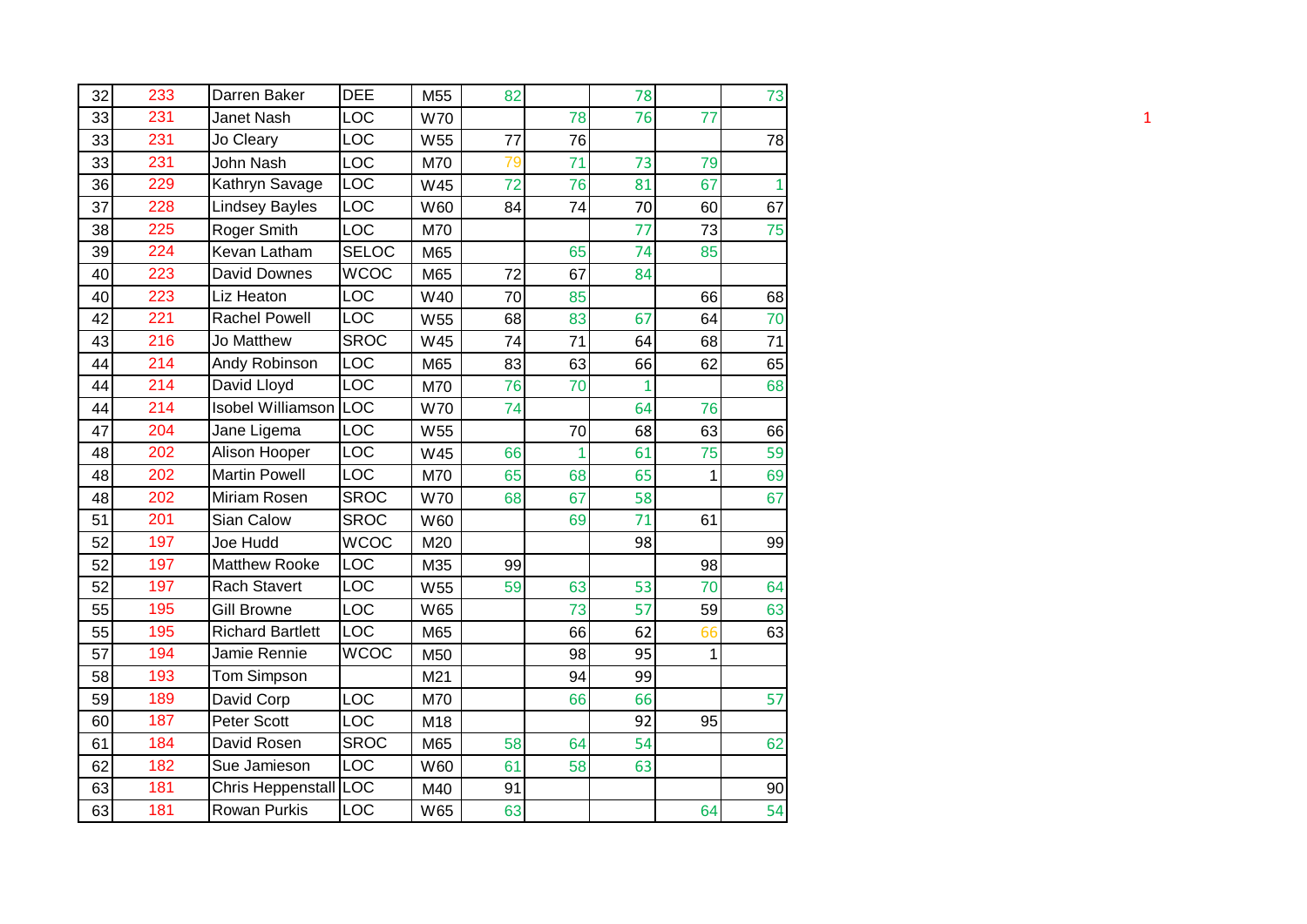| 32 | 233 | Darren Baker             | <b>DEE</b>   | M55        | 82 |    | 78           |    | 73 |
|----|-----|--------------------------|--------------|------------|----|----|--------------|----|----|
| 33 | 231 | Janet Nash               | LOC          | <b>W70</b> |    | 78 | 76           | 77 |    |
| 33 | 231 | Jo Cleary                | LOC          | W55        | 77 | 76 |              |    | 78 |
| 33 | 231 | John Nash                | LOC          | M70        | 79 | 71 | 73           | 79 |    |
| 36 | 229 | Kathryn Savage           | LOC          | W45        | 72 | 76 | 81           | 67 | 1  |
| 37 | 228 | <b>Lindsey Bayles</b>    | LOC          | W60        | 84 | 74 | 70           | 60 | 67 |
| 38 | 225 | Roger Smith              | LOC          | M70        |    |    | 77           | 73 | 75 |
| 39 | 224 | Kevan Latham             | <b>SELOC</b> | M65        |    | 65 | 74           | 85 |    |
| 40 | 223 | David Downes             | <b>WCOC</b>  | M65        | 72 | 67 | 84           |    |    |
| 40 | 223 | Liz Heaton               | LOC          | W40        | 70 | 85 |              | 66 | 68 |
| 42 | 221 | <b>Rachel Powell</b>     | LOC          | W55        | 68 | 83 | 67           | 64 | 70 |
| 43 | 216 | Jo Matthew               | <b>SROC</b>  | W45        | 74 | 71 | 64           | 68 | 71 |
| 44 | 214 | Andy Robinson            | <b>LOC</b>   | M65        | 83 | 63 | 66           | 62 | 65 |
| 44 | 214 | David Lloyd              | <b>LOC</b>   | M70        | 76 | 70 | $\mathbf{1}$ |    | 68 |
| 44 | 214 | <b>Isobel Williamson</b> | LOC          | <b>W70</b> | 74 |    | 64           | 76 |    |
| 47 | 204 | Jane Ligema              | LOC          | W55        |    | 70 | 68           | 63 | 66 |
| 48 | 202 | Alison Hooper            | <b>LOC</b>   | W45        | 66 | 1  | 61           | 75 | 59 |
| 48 | 202 | <b>Martin Powell</b>     | LOC          | M70        | 65 | 68 | 65           | 1  | 69 |
| 48 | 202 | Miriam Rosen             | <b>SROC</b>  | <b>W70</b> | 68 | 67 | 58           |    | 67 |
| 51 | 201 | Sian Calow               | <b>SROC</b>  | W60        |    | 69 | 71           | 61 |    |
| 52 | 197 | Joe Hudd                 | <b>WCOC</b>  | M20        |    |    | 98           |    | 99 |
| 52 | 197 | <b>Matthew Rooke</b>     | LOC          | M35        | 99 |    |              | 98 |    |
| 52 | 197 | <b>Rach Stavert</b>      | LOC          | W55        | 59 | 63 | 53           | 70 | 64 |
| 55 | 195 | Gill Browne              | <b>LOC</b>   | W65        |    | 73 | 57           | 59 | 63 |
| 55 | 195 | <b>Richard Bartlett</b>  | <b>LOC</b>   | M65        |    | 66 | 62           | 66 | 63 |
| 57 | 194 | Jamie Rennie             | <b>WCOC</b>  | M50        |    | 98 | 95           | 1  |    |
| 58 | 193 | Tom Simpson              |              | M21        |    | 94 | 99           |    |    |
| 59 | 189 | David Corp               | LOC          | M70        |    | 66 | 66           |    | 57 |
| 60 | 187 | Peter Scott              | LOC          | M18        |    |    | 92           | 95 |    |
| 61 | 184 | David Rosen              | <b>SROC</b>  | M65        | 58 | 64 | 54           |    | 62 |
| 62 | 182 | Sue Jamieson             | <b>LOC</b>   | W60        | 61 | 58 | 63           |    |    |
| 63 | 181 | Chris Heppenstall        | <b>ILOC</b>  | M40        | 91 |    |              |    | 90 |
| 63 | 181 | <b>Rowan Purkis</b>      | LOC          | W65        | 63 |    |              | 64 | 54 |
|    |     |                          |              |            |    |    |              |    |    |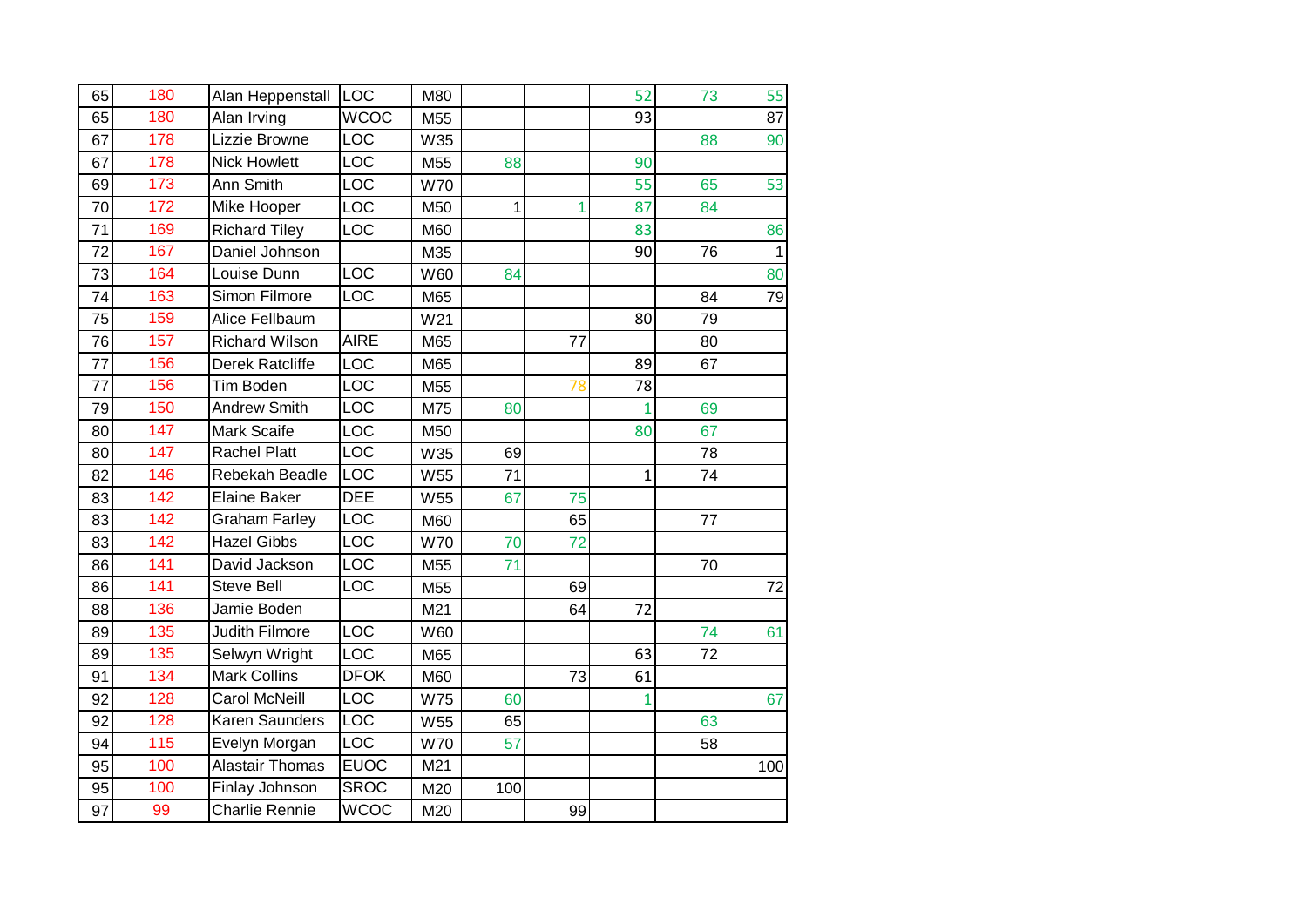| 65 | 180 | Alan Heppenstall       | <b>LOC</b>              | M80        |     |    | 52           | 73 | 55           |
|----|-----|------------------------|-------------------------|------------|-----|----|--------------|----|--------------|
| 65 | 180 | Alan Irving            | <b>WCOC</b>             | M55        |     |    | 93           |    | 87           |
| 67 | 178 | Lizzie Browne          | LOC                     | W35        |     |    |              | 88 | 90           |
| 67 | 178 | <b>Nick Howlett</b>    | LOC                     | M55        | 88  |    | 90           |    |              |
| 69 | 173 | Ann Smith              | LOC                     | <b>W70</b> |     |    | 55           | 65 | 53           |
| 70 | 172 | Mike Hooper            | LOC                     | M50        | 1   | 1  | 87           | 84 |              |
| 71 | 169 | <b>Richard Tiley</b>   | LOC                     | M60        |     |    | 83           |    | 86           |
| 72 | 167 | Daniel Johnson         |                         | M35        |     |    | 90           | 76 | $\mathbf{1}$ |
| 73 | 164 | Louise Dunn            | LOC                     | W60        | 84  |    |              |    | 80           |
| 74 | 163 | Simon Filmore          | $\overline{LOC}$        | M65        |     |    |              | 84 | 79           |
| 75 | 159 | Alice Fellbaum         |                         | W21        |     |    | 80           | 79 |              |
| 76 | 157 | <b>Richard Wilson</b>  | <b>AIRE</b>             | M65        |     | 77 |              | 80 |              |
| 77 | 156 | <b>Derek Ratcliffe</b> | LOC                     | M65        |     |    | 89           | 67 |              |
| 77 | 156 | <b>Tim Boden</b>       | LOC                     | M55        |     | 78 | 78           |    |              |
| 79 | 150 | <b>Andrew Smith</b>    | LOC                     | M75        | 80  |    | 1            | 69 |              |
| 80 | 147 | Mark Scaife            | LOC                     | M50        |     |    | 80           | 67 |              |
| 80 | 147 | <b>Rachel Platt</b>    | $\overline{LOC}$        | W35        | 69  |    |              | 78 |              |
| 82 | 146 | Rebekah Beadle         | $\overline{LOC}$        | W55        | 71  |    | $\mathbf{1}$ | 74 |              |
| 83 | 142 | <b>Elaine Baker</b>    | <b>DEE</b>              | W55        | 67  | 75 |              |    |              |
| 83 | 142 | <b>Graham Farley</b>   | <b>LOC</b>              | M60        |     | 65 |              | 77 |              |
| 83 | 142 | <b>Hazel Gibbs</b>     | $\overline{LOC}$        | <b>W70</b> | 70  | 72 |              |    |              |
| 86 | 141 | David Jackson          | $\overline{\text{LOC}}$ | M55        | 71  |    |              | 70 |              |
| 86 | 141 | <b>Steve Bell</b>      | LOC                     | M55        |     | 69 |              |    | 72           |
| 88 | 136 | Jamie Boden            |                         | M21        |     | 64 | 72           |    |              |
| 89 | 135 | <b>Judith Filmore</b>  | LOC                     | W60        |     |    |              | 74 | 61           |
| 89 | 135 | Selwyn Wright          | LOC                     | M65        |     |    | 63           | 72 |              |
| 91 | 134 | Mark Collins           | <b>DFOK</b>             | M60        |     | 73 | 61           |    |              |
| 92 | 128 | Carol McNeill          | LOC                     | <b>W75</b> | 60  |    | $\mathbf{1}$ |    | 67           |
| 92 | 128 | <b>Karen Saunders</b>  | $\overline{LOC}$        | W55        | 65  |    |              | 63 |              |
| 94 | 115 | Evelyn Morgan          | LOC                     | <b>W70</b> | 57  |    |              | 58 |              |
| 95 | 100 | <b>Alastair Thomas</b> | <b>EUOC</b>             | M21        |     |    |              |    | 100          |
| 95 | 100 | Finlay Johnson         | <b>SROC</b>             | M20        | 100 |    |              |    |              |
| 97 | 99  | <b>Charlie Rennie</b>  | <b>WCOC</b>             | M20        |     | 99 |              |    |              |
|    |     |                        |                         |            |     |    |              |    |              |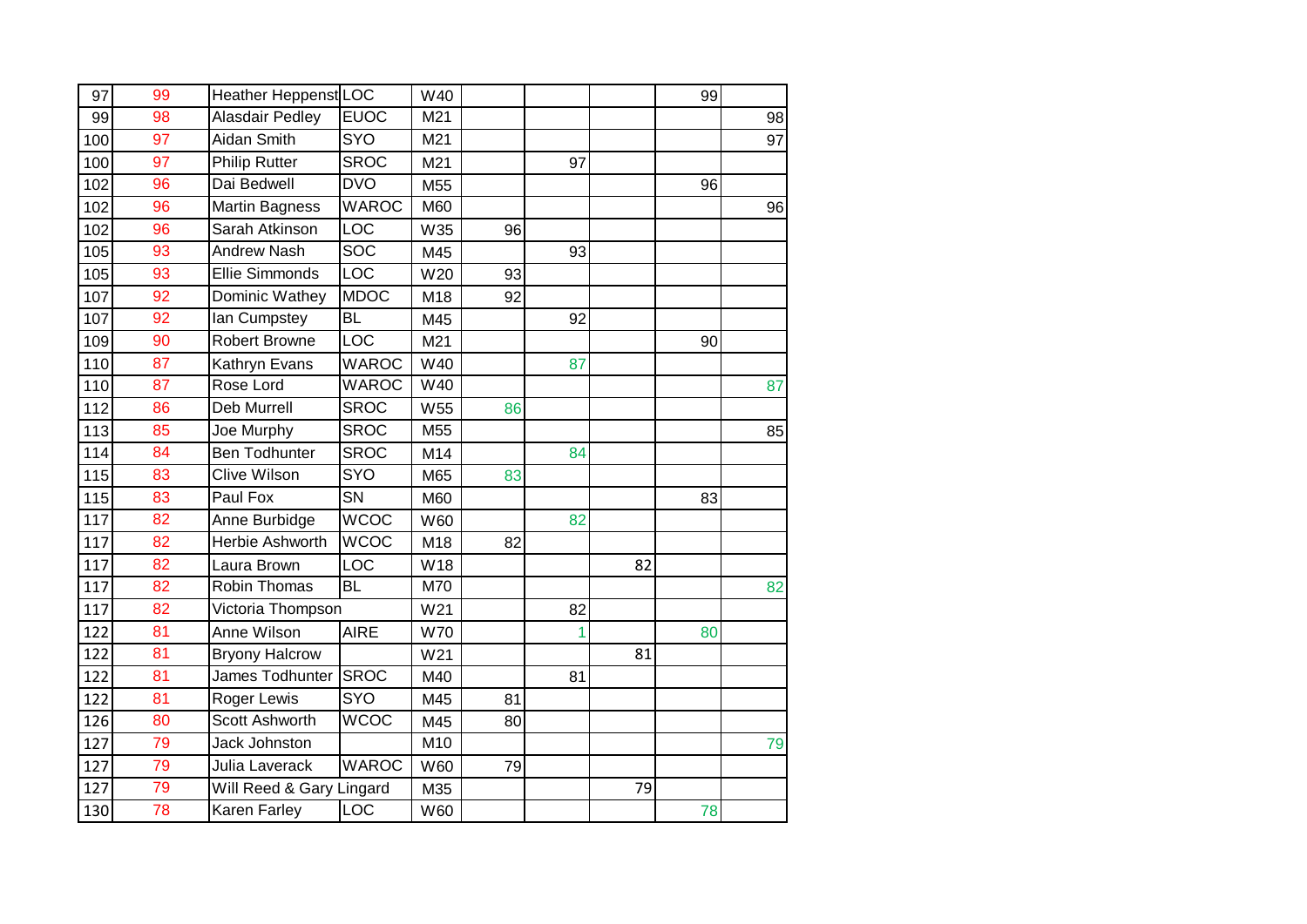| 97<br>99<br>100<br>100<br>102 | 99<br>98<br>97 | Heather Heppenst LOC<br>Alasdair Pedley | <b>EUOC</b>  | W40        |    |    |    | 99 |    |
|-------------------------------|----------------|-----------------------------------------|--------------|------------|----|----|----|----|----|
|                               |                |                                         |              |            |    |    |    |    |    |
|                               |                |                                         |              | M21        |    |    |    |    | 98 |
|                               |                | Aidan Smith                             | <b>SYO</b>   | M21        |    |    |    |    | 97 |
|                               | 97             | <b>Philip Rutter</b>                    | <b>SROC</b>  | M21        |    | 97 |    |    |    |
|                               | 96             | Dai Bedwell                             | <b>DVO</b>   | M55        |    |    |    | 96 |    |
| 102                           | 96             | <b>Martin Bagness</b>                   | <b>WAROC</b> | M60        |    |    |    |    | 96 |
| 102                           | 96             | Sarah Atkinson                          | LOC          | W35        | 96 |    |    |    |    |
| 105                           | 93             | <b>Andrew Nash</b>                      | <b>SOC</b>   | M45        |    | 93 |    |    |    |
| 105                           | 93             | <b>Ellie Simmonds</b>                   | <b>LOC</b>   | W20        | 93 |    |    |    |    |
| 107                           | 92             | Dominic Wathey                          | <b>MDOC</b>  | M18        | 92 |    |    |    |    |
| 107                           | 92             | lan Cumpstey                            | <b>BL</b>    | M45        |    | 92 |    |    |    |
| 109                           | 90             | <b>Robert Browne</b>                    | LOC          | M21        |    |    |    | 90 |    |
| 110                           | 87             | Kathryn Evans                           | <b>WAROC</b> | W40        |    | 87 |    |    |    |
| 110                           | 87             | Rose Lord                               | <b>WAROC</b> | W40        |    |    |    |    | 87 |
| 112                           | 86             | <b>Deb Murrell</b>                      | <b>SROC</b>  | W55        | 86 |    |    |    |    |
| 113                           | 85             | Joe Murphy                              | <b>SROC</b>  | M55        |    |    |    |    | 85 |
| 114                           | 84             | <b>Ben Todhunter</b>                    | <b>SROC</b>  | M14        |    | 84 |    |    |    |
| 115                           | 83             | Clive Wilson                            | SYO          | M65        | 83 |    |    |    |    |
| 115                           | 83             | Paul Fox                                | SN           | M60        |    |    |    | 83 |    |
| 117                           | 82             | Anne Burbidge                           | <b>WCOC</b>  | W60        |    | 82 |    |    |    |
| 117                           | 82             | Herbie Ashworth                         | <b>WCOC</b>  | M18        | 82 |    |    |    |    |
| 117                           | 82             | Laura Brown                             | LOC          | W18        |    |    | 82 |    |    |
| 117                           | 82             | Robin Thomas                            | <b>BL</b>    | M70        |    |    |    |    | 82 |
| 117                           | 82             | Victoria Thompson                       |              | W21        |    | 82 |    |    |    |
| 122                           | 81             | Anne Wilson                             | <b>AIRE</b>  | <b>W70</b> |    | 1  |    | 80 |    |
| 122                           | 81             | <b>Bryony Halcrow</b>                   |              | W21        |    |    | 81 |    |    |
| 122                           | 81             | James Todhunter                         | <b>SROC</b>  | M40        |    | 81 |    |    |    |
| 122                           | 81             | Roger Lewis                             | SYO          | M45        | 81 |    |    |    |    |
| 126                           | 80             | Scott Ashworth                          | <b>WCOC</b>  | M45        | 80 |    |    |    |    |
| 127                           | 79             | Jack Johnston                           |              | M10        |    |    |    |    | 79 |
| 127                           | 79             | Julia Laverack                          | <b>WAROC</b> | W60        | 79 |    |    |    |    |
| 127                           | 79             | Will Reed & Gary Lingard                |              | M35        |    |    | 79 |    |    |
| 130                           | 78             | Karen Farley                            | LOC          | W60        |    |    |    | 78 |    |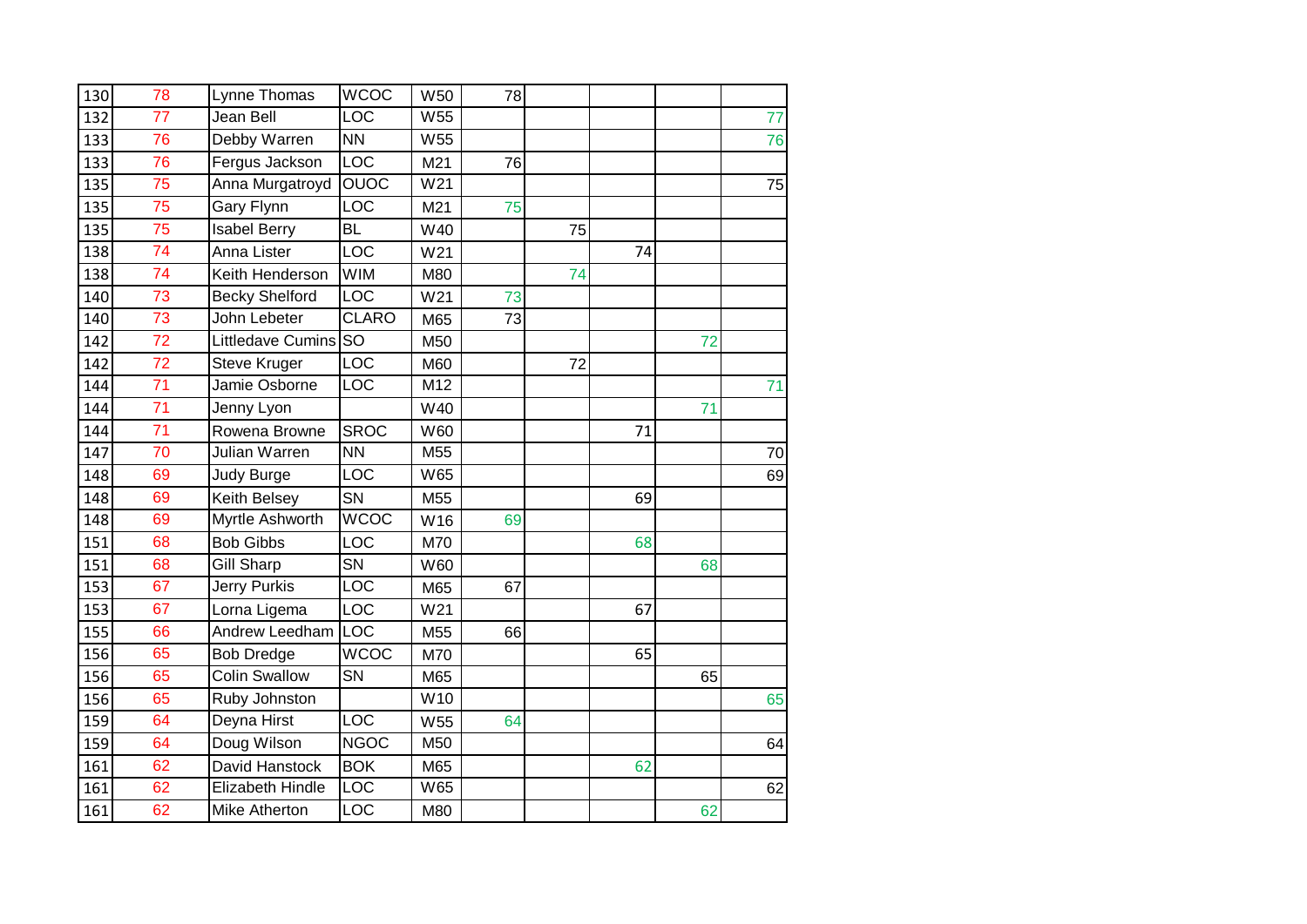| 130 | 78              | Lynne Thomas          | <b>WCOC</b>            | W50 | 78 |    |    |    |    |
|-----|-----------------|-----------------------|------------------------|-----|----|----|----|----|----|
| 132 | 77              | Jean Bell             | LOC                    | W55 |    |    |    |    | 77 |
| 133 | 76              | Debby Warren          | $\overline{NN}$        | W55 |    |    |    |    | 76 |
| 133 | 76              | Fergus Jackson        | LOC                    | M21 | 76 |    |    |    |    |
| 135 | 75              | Anna Murgatroyd       | <b>OUOC</b>            | W21 |    |    |    |    | 75 |
| 135 | 75              | Gary Flynn            | LOC                    | M21 | 75 |    |    |    |    |
| 135 | 75              | <b>Isabel Berry</b>   | <b>BL</b>              | W40 |    | 75 |    |    |    |
| 138 | 74              | Anna Lister           | <b>LOC</b>             | W21 |    |    | 74 |    |    |
| 138 | 74              | Keith Henderson       | <b>WIM</b>             | M80 |    | 74 |    |    |    |
| 140 | $\overline{73}$ | <b>Becky Shelford</b> | LOC                    | W21 | 73 |    |    |    |    |
| 140 | 73              | John Lebeter          | <b>CLARO</b>           | M65 | 73 |    |    |    |    |
| 142 | 72              | Littledave Cumins SO  |                        | M50 |    |    |    | 72 |    |
| 142 | 72              | Steve Kruger          | LOC                    | M60 |    | 72 |    |    |    |
| 144 | $\overline{71}$ | Jamie Osborne         | LOC                    | M12 |    |    |    |    | 71 |
| 144 | 71              | Jenny Lyon            |                        | W40 |    |    |    | 71 |    |
| 144 | 71              | Rowena Browne         | <b>SROC</b>            | W60 |    |    | 71 |    |    |
| 147 | 70              | Julian Warren         | <b>NN</b>              | M55 |    |    |    |    | 70 |
| 148 | 69              | Judy Burge            | LOC                    | W65 |    |    |    |    | 69 |
| 148 | 69              | Keith Belsey          | SN                     | M55 |    |    | 69 |    |    |
| 148 | 69              | Myrtle Ashworth       | <b>WCOC</b>            | W16 | 69 |    |    |    |    |
| 151 | 68              | <b>Bob Gibbs</b>      | LOC                    | M70 |    |    | 68 |    |    |
| 151 | 68              | <b>Gill Sharp</b>     | $\overline{\text{SN}}$ | W60 |    |    |    | 68 |    |
| 153 | 67              | Jerry Purkis          | LOC                    | M65 | 67 |    |    |    |    |
| 153 | 67              | Lorna Ligema          | LOC                    | W21 |    |    | 67 |    |    |
| 155 | 66              | Andrew Leedham        | LOC                    | M55 | 66 |    |    |    |    |
| 156 | 65              | <b>Bob Dredge</b>     | <b>WCOC</b>            | M70 |    |    | 65 |    |    |
| 156 | 65              | <b>Colin Swallow</b>  | SN                     | M65 |    |    |    | 65 |    |
| 156 | 65              | Ruby Johnston         |                        | W10 |    |    |    |    | 65 |
| 159 | 64              | Deyna Hirst           | LOC                    | W55 | 64 |    |    |    |    |
| 159 | 64              | Doug Wilson           | <b>NGOC</b>            | M50 |    |    |    |    | 64 |
| 161 | 62              | David Hanstock        | <b>BOK</b>             | M65 |    |    | 62 |    |    |
| 161 | 62              | Elizabeth Hindle      | LOC                    | W65 |    |    |    |    | 62 |
| 161 | 62              | Mike Atherton         | LOC                    | M80 |    |    |    | 62 |    |
|     |                 |                       |                        |     |    |    |    |    |    |